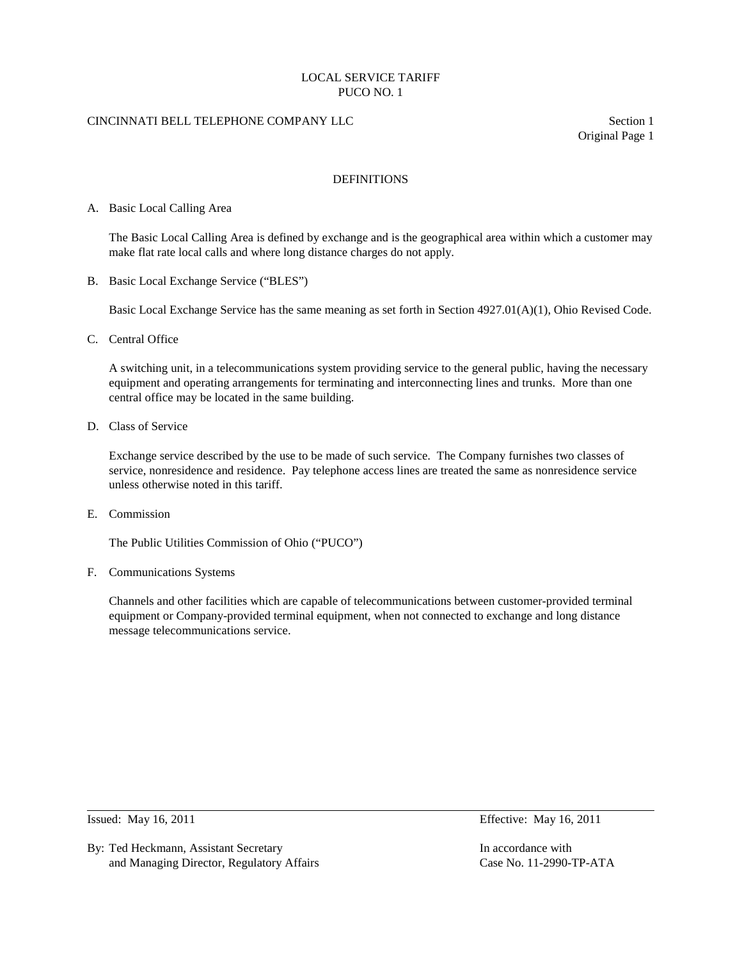## CINCINNATI BELL TELEPHONE COMPANY LLC Section 1

Original Page 1

## DEFINITIONS

### A. Basic Local Calling Area

The Basic Local Calling Area is defined by exchange and is the geographical area within which a customer may make flat rate local calls and where long distance charges do not apply.

B. Basic Local Exchange Service ("BLES")

Basic Local Exchange Service has the same meaning as set forth in Section 4927.01(A)(1), Ohio Revised Code.

C. Central Office

A switching unit, in a telecommunications system providing service to the general public, having the necessary equipment and operating arrangements for terminating and interconnecting lines and trunks. More than one central office may be located in the same building.

D. Class of Service

Exchange service described by the use to be made of such service. The Company furnishes two classes of service, nonresidence and residence. Pay telephone access lines are treated the same as nonresidence service unless otherwise noted in this tariff.

E. Commission

The Public Utilities Commission of Ohio ("PUCO")

F. Communications Systems

Channels and other facilities which are capable of telecommunications between customer-provided terminal equipment or Company-provided terminal equipment, when not connected to exchange and long distance message telecommunications service.

By: Ted Heckmann, Assistant Secretary **In accordance with** In accordance with and Managing Director, Regulatory Affairs Case No. 11-2990-TP-ATA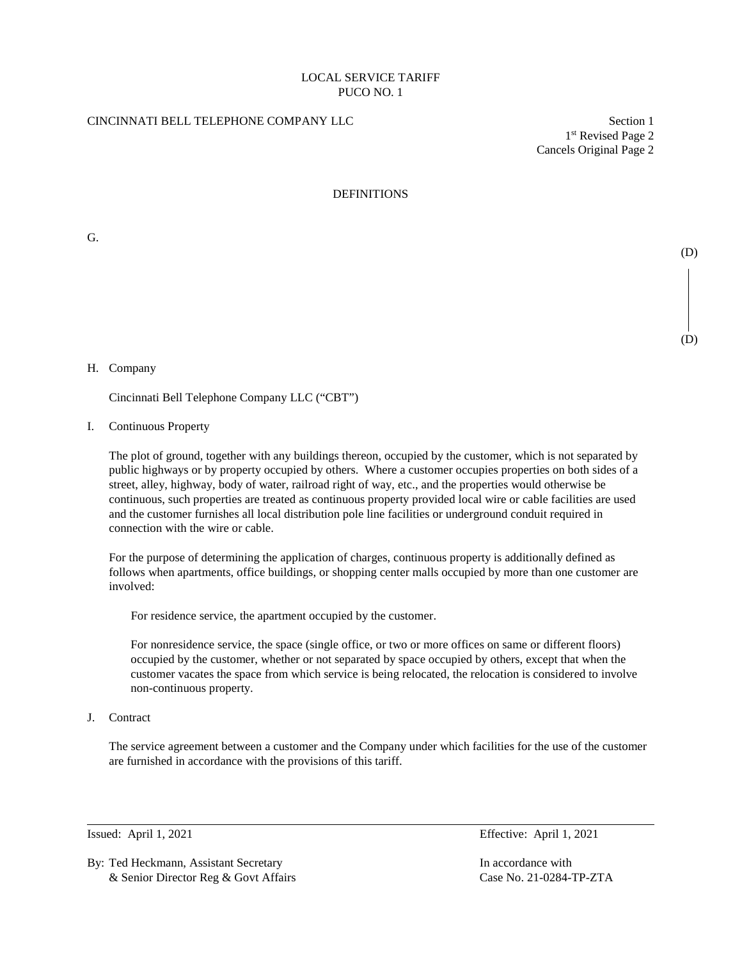# CINCINNATI BELL TELEPHONE COMPANY LLC Section 1

1st Revised Page 2 Cancels Original Page 2

(D)

(D)

## DEFINITIONS

G.

#### H. Company

Cincinnati Bell Telephone Company LLC ("CBT")

I. Continuous Property

The plot of ground, together with any buildings thereon, occupied by the customer, which is not separated by public highways or by property occupied by others. Where a customer occupies properties on both sides of a street, alley, highway, body of water, railroad right of way, etc., and the properties would otherwise be continuous, such properties are treated as continuous property provided local wire or cable facilities are used and the customer furnishes all local distribution pole line facilities or underground conduit required in connection with the wire or cable.

For the purpose of determining the application of charges, continuous property is additionally defined as follows when apartments, office buildings, or shopping center malls occupied by more than one customer are involved:

For residence service, the apartment occupied by the customer.

For nonresidence service, the space (single office, or two or more offices on same or different floors) occupied by the customer, whether or not separated by space occupied by others, except that when the customer vacates the space from which service is being relocated, the relocation is considered to involve non-continuous property.

J. Contract

The service agreement between a customer and the Company under which facilities for the use of the customer are furnished in accordance with the provisions of this tariff.

By: Ted Heckmann, Assistant Secretary **In accordance with** In accordance with & Senior Director Reg & Govt Affairs Case No. 21-0284-TP-ZTA

Issued: April 1, 2021 Effective: April 1, 2021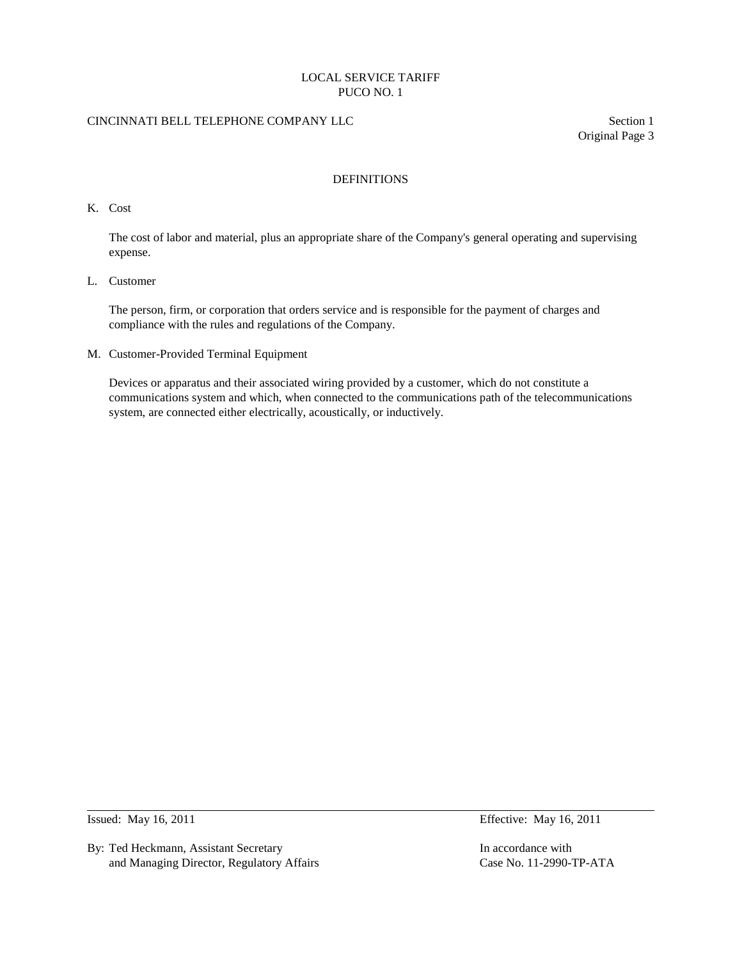# CINCINNATI BELL TELEPHONE COMPANY LLC Section 1

Original Page 3

## DEFINITIONS

K. Cost

The cost of labor and material, plus an appropriate share of the Company's general operating and supervising expense.

L. Customer

The person, firm, or corporation that orders service and is responsible for the payment of charges and compliance with the rules and regulations of the Company.

M. Customer-Provided Terminal Equipment

Devices or apparatus and their associated wiring provided by a customer, which do not constitute a communications system and which, when connected to the communications path of the telecommunications system, are connected either electrically, acoustically, or inductively.

By: Ted Heckmann, Assistant Secretary **In accordance with** In accordance with and Managing Director, Regulatory Affairs Case No. 11-2990-TP-ATA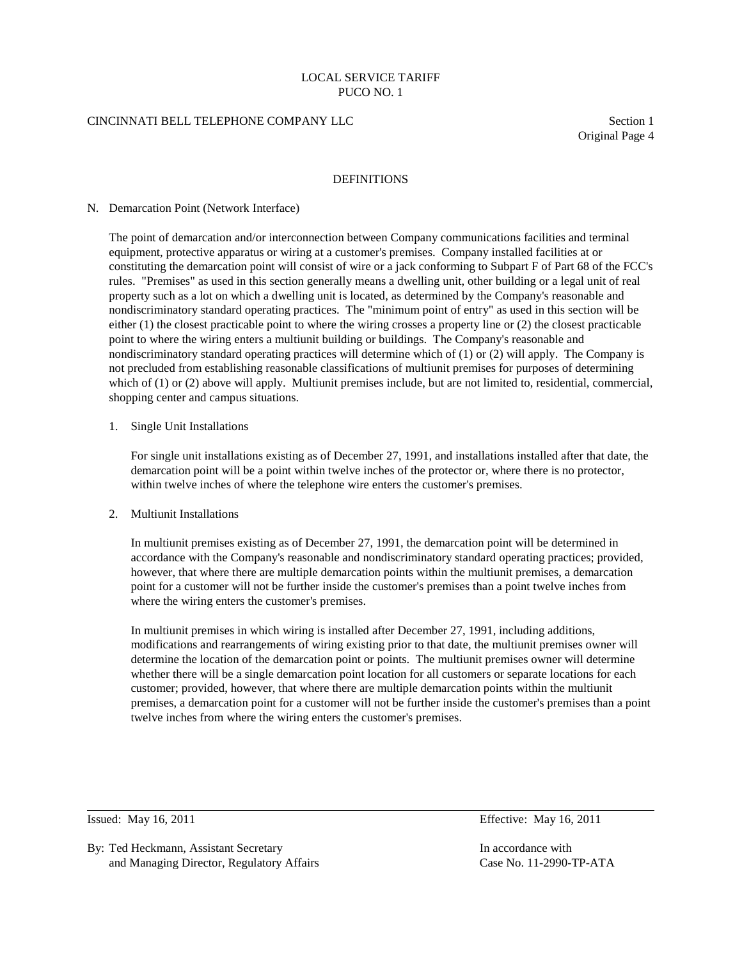### CINCINNATI BELL TELEPHONE COMPANY LLC Section 1

Original Page 4

### DEFINITIONS

#### N. Demarcation Point (Network Interface)

The point of demarcation and/or interconnection between Company communications facilities and terminal equipment, protective apparatus or wiring at a customer's premises. Company installed facilities at or constituting the demarcation point will consist of wire or a jack conforming to Subpart F of Part 68 of the FCC's rules. "Premises" as used in this section generally means a dwelling unit, other building or a legal unit of real property such as a lot on which a dwelling unit is located, as determined by the Company's reasonable and nondiscriminatory standard operating practices. The "minimum point of entry" as used in this section will be either (1) the closest practicable point to where the wiring crosses a property line or (2) the closest practicable point to where the wiring enters a multiunit building or buildings. The Company's reasonable and nondiscriminatory standard operating practices will determine which of (1) or (2) will apply. The Company is not precluded from establishing reasonable classifications of multiunit premises for purposes of determining which of (1) or (2) above will apply. Multiunit premises include, but are not limited to, residential, commercial, shopping center and campus situations.

# 1. Single Unit Installations

For single unit installations existing as of December 27, 1991, and installations installed after that date, the demarcation point will be a point within twelve inches of the protector or, where there is no protector, within twelve inches of where the telephone wire enters the customer's premises.

## 2. Multiunit Installations

 In multiunit premises existing as of December 27, 1991, the demarcation point will be determined in accordance with the Company's reasonable and nondiscriminatory standard operating practices; provided, however, that where there are multiple demarcation points within the multiunit premises, a demarcation point for a customer will not be further inside the customer's premises than a point twelve inches from where the wiring enters the customer's premises.

 In multiunit premises in which wiring is installed after December 27, 1991, including additions, modifications and rearrangements of wiring existing prior to that date, the multiunit premises owner will determine the location of the demarcation point or points. The multiunit premises owner will determine whether there will be a single demarcation point location for all customers or separate locations for each customer; provided, however, that where there are multiple demarcation points within the multiunit premises, a demarcation point for a customer will not be further inside the customer's premises than a point twelve inches from where the wiring enters the customer's premises.

Issued: May 16, 2011 Effective: May 16, 2011

By: Ted Heckmann, Assistant Secretary **In accordance with** In accordance with and Managing Director, Regulatory Affairs Case No. 11-2990-TP-ATA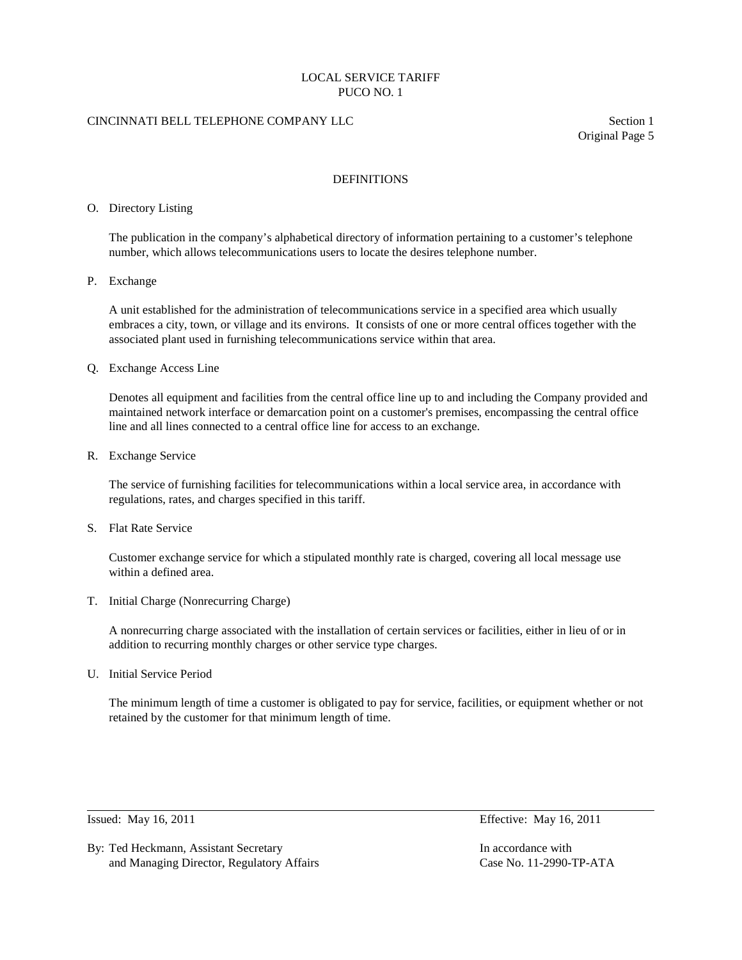# CINCINNATI BELL TELEPHONE COMPANY LLC Section 1

Original Page 5

## DEFINITIONS

### O. Directory Listing

The publication in the company's alphabetical directory of information pertaining to a customer's telephone number, which allows telecommunications users to locate the desires telephone number.

P. Exchange

A unit established for the administration of telecommunications service in a specified area which usually embraces a city, town, or village and its environs. It consists of one or more central offices together with the associated plant used in furnishing telecommunications service within that area.

Q. Exchange Access Line

Denotes all equipment and facilities from the central office line up to and including the Company provided and maintained network interface or demarcation point on a customer's premises, encompassing the central office line and all lines connected to a central office line for access to an exchange.

R. Exchange Service

The service of furnishing facilities for telecommunications within a local service area, in accordance with regulations, rates, and charges specified in this tariff.

S. Flat Rate Service

Customer exchange service for which a stipulated monthly rate is charged, covering all local message use within a defined area.

T. Initial Charge (Nonrecurring Charge)

A nonrecurring charge associated with the installation of certain services or facilities, either in lieu of or in addition to recurring monthly charges or other service type charges.

U. Initial Service Period

The minimum length of time a customer is obligated to pay for service, facilities, or equipment whether or not retained by the customer for that minimum length of time.

By: Ted Heckmann, Assistant Secretary **In accordance with** In accordance with and Managing Director, Regulatory Affairs Case No. 11-2990-TP-ATA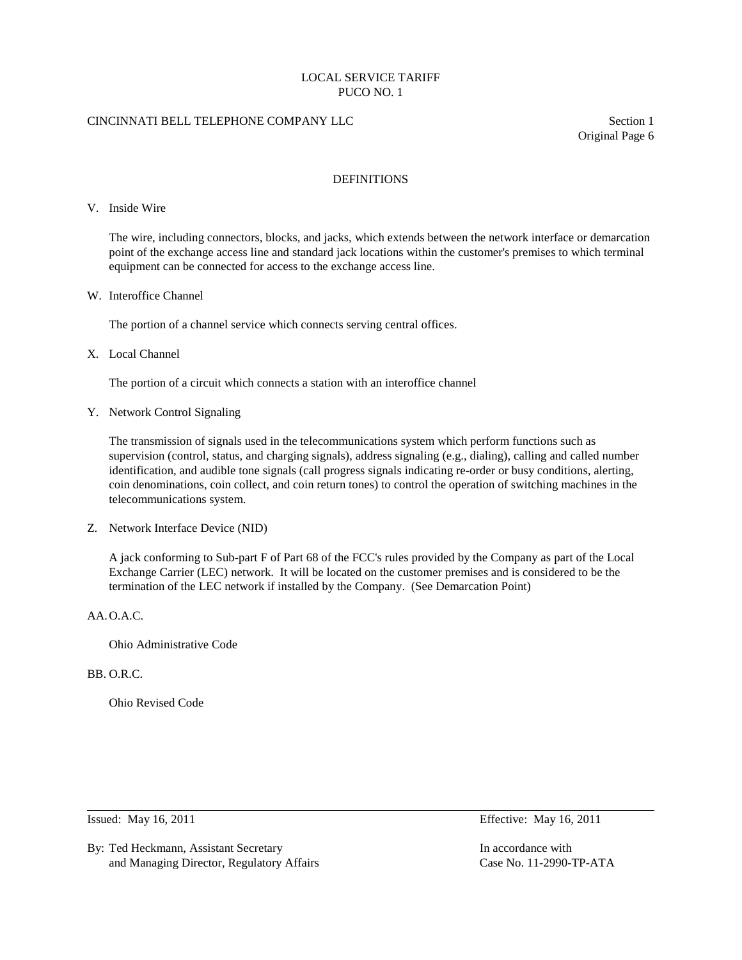# CINCINNATI BELL TELEPHONE COMPANY LLC Section 1

Original Page 6

## DEFINITIONS

#### V. Inside Wire

The wire, including connectors, blocks, and jacks, which extends between the network interface or demarcation point of the exchange access line and standard jack locations within the customer's premises to which terminal equipment can be connected for access to the exchange access line.

### W. Interoffice Channel

The portion of a channel service which connects serving central offices.

### X. Local Channel

The portion of a circuit which connects a station with an interoffice channel

Y. Network Control Signaling

The transmission of signals used in the telecommunications system which perform functions such as supervision (control, status, and charging signals), address signaling (e.g., dialing), calling and called number identification, and audible tone signals (call progress signals indicating re-order or busy conditions, alerting, coin denominations, coin collect, and coin return tones) to control the operation of switching machines in the telecommunications system.

Z. Network Interface Device (NID)

A jack conforming to Sub-part F of Part 68 of the FCC's rules provided by the Company as part of the Local Exchange Carrier (LEC) network. It will be located on the customer premises and is considered to be the termination of the LEC network if installed by the Company. (See Demarcation Point)

# AA.O.A.C.

Ohio Administrative Code

# BB. O.R.C.

Ohio Revised Code

By: Ted Heckmann, Assistant Secretary **In accordance with** In accordance with and Managing Director, Regulatory Affairs Case No. 11-2990-TP-ATA